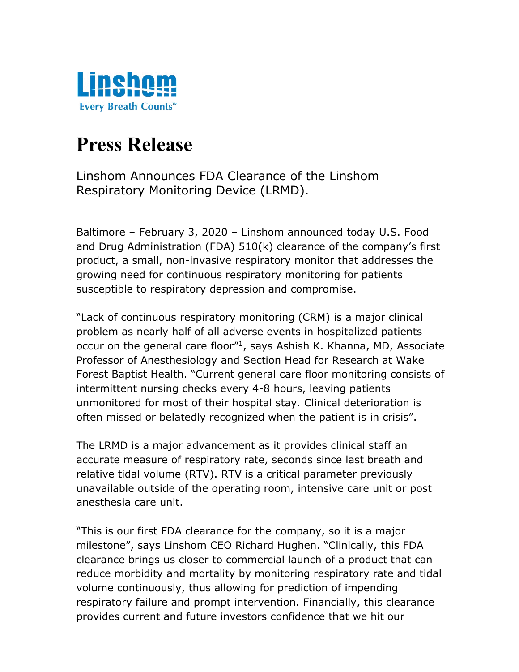

## **Press Release**

Linshom Announces FDA Clearance of the Linshom Respiratory Monitoring Device (LRMD).

Baltimore – February 3, 2020 – Linshom announced today U.S. Food and Drug Administration (FDA) 510(k) clearance of the company's first product, a small, non-invasive respiratory monitor that addresses the growing need for continuous respiratory monitoring for patients susceptible to respiratory depression and compromise.

"Lack of continuous respiratory monitoring (CRM) is a major clinical problem as nearly half of all adverse events in hospitalized patients occur on the general care floor" 1 , says Ashish K. Khanna, MD, Associate Professor of Anesthesiology and Section Head for Research at Wake Forest Baptist Health. "Current general care floor monitoring consists of intermittent nursing checks every 4-8 hours, leaving patients unmonitored for most of their hospital stay. Clinical deterioration is often missed or belatedly recognized when the patient is in crisis".

The LRMD is a major advancement as it provides clinical staff an accurate measure of respiratory rate, seconds since last breath and relative tidal volume (RTV). RTV is a critical parameter previously unavailable outside of the operating room, intensive care unit or post anesthesia care unit.

"This is our first FDA clearance for the company, so it is a major milestone", says Linshom CEO Richard Hughen. "Clinically, this FDA clearance brings us closer to commercial launch of a product that can reduce morbidity and mortality by monitoring respiratory rate and tidal volume continuously, thus allowing for prediction of impending respiratory failure and prompt intervention. Financially, this clearance provides current and future investors confidence that we hit our